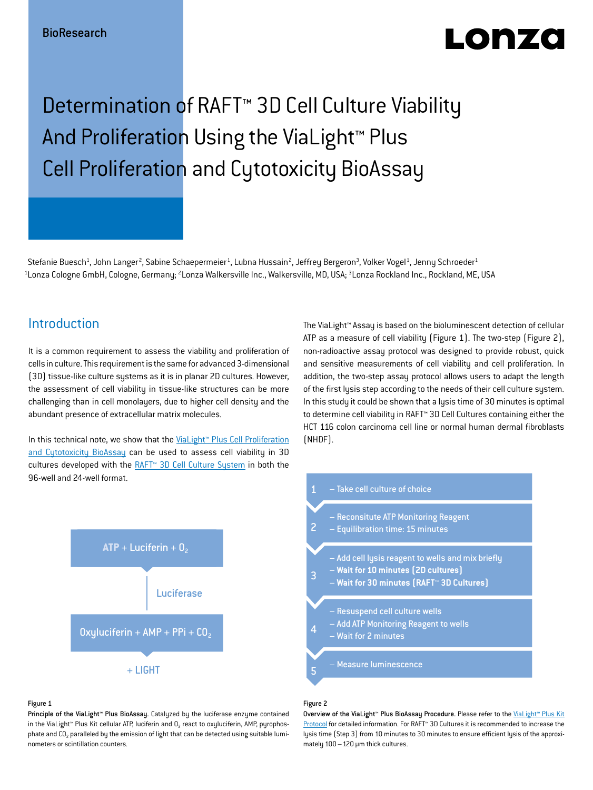# LONZO

# Determination of RAFT<sup>™</sup> 3D Cell Culture Viability And Proliferation Using the ViaLight<sup>™</sup> Plus Cell Proliferation and Cytotoxicity BioAssay

Stefanie Buesch<sup>1</sup>, John Langer<sup>2</sup>, Sabine Schaepermeier<sup>1</sup>, Lubna Hussain<sup>2</sup>, Jeffrey Bergeron<sup>3</sup>, Volker Vogel<sup>1</sup>, Jenny Schroeder<sup>1</sup>  $^{\rm 1}$ Lonza Cologne GmbH, Cologne, Germany; <sup>2</sup>Lonza Walkersville Inc., Walkersville, MD, USA; <sup>3</sup>Lonza Rockland Inc., Rockland, ME, USA

# **Introduction**

It is a common requirement to assess the viability and proliferation of cells in culture. This requirement is the same for advanced 3-dimensional (3D) tissue-like culture systems as it is in planar 2D cultures. However, the assessment of cell viability in tissue-like structures can be more challenging than in cell monolayers, due to higher cell density and the abundant presence of extracellular matrix molecules.

In this technical note, we show that the [ViaLight™ Plus Cell Proliferation](http://www.lonza.com/products-services/bio-research/assay-solutions/bioassays/cell-health-assays/vialight-plus-cell-proliferation-and-cytotoxicity-bioassay-kit.aspx)  [and Cytotoxicity BioAssay](http://www.lonza.com/products-services/bio-research/assay-solutions/bioassays/cell-health-assays/vialight-plus-cell-proliferation-and-cytotoxicity-bioassay-kit.aspx) can be used to assess cell viability in 3D cultures developed with the RAFT<sup>™</sup> 3D Cell Culture System in both the 96-well and 24-well format.

The ViaLight™ Assay is based on the bioluminescent detection of cellular ATP as a measure of cell viability (Figure 1). The two-step (Figure 2), non-radioactive assay protocol was designed to provide robust, quick and sensitive measurements of cell viability and cell proliferation. In addition, the two-step assay protocol allows users to adapt the length of the first lysis step according to the needs of their cell culture system. In this study it could be shown that a lysis time of 30 minutes is optimal to determine cell viability in RAFT™ 3D Cell Cultures containing either the HCT 116 colon carcinoma cell line or normal human dermal fibroblasts (NHDF).



### Figure 1

Principle of the ViaLight™ Plus BioAssay. Catalyzed by the luciferase enzyme contained in the ViaLight™ Plus Kit cellular ATP, luciferin and  $0<sub>2</sub>$  react to oxyluciferin, AMP, pyrophosphate and  $CO<sub>2</sub>$  paralleled by the emission of light that can be detected using suitable luminometers or scintillation counters.



## Figure 2

Overview of the ViaLight™ Plus BioAssay Procedure. Please refer to the [ViaLight™ Plus Kit](http://bio.lonza.com/uploads/tx_mwaxmarketingmaterial/Lonza_ManualsProductInstructions_ViaLight_plus_kit.pdf) [Protocol](http://bio.lonza.com/uploads/tx_mwaxmarketingmaterial/Lonza_ManualsProductInstructions_ViaLight_plus_kit.pdf) for detailed information. For RAFT<sup>™</sup> 3D Cultures it is recommended to increase the lysis time (Step 3) from 10 minutes to 30 minutes to ensure efficient lysis of the approximately  $100 - 120$  µm thick cultures.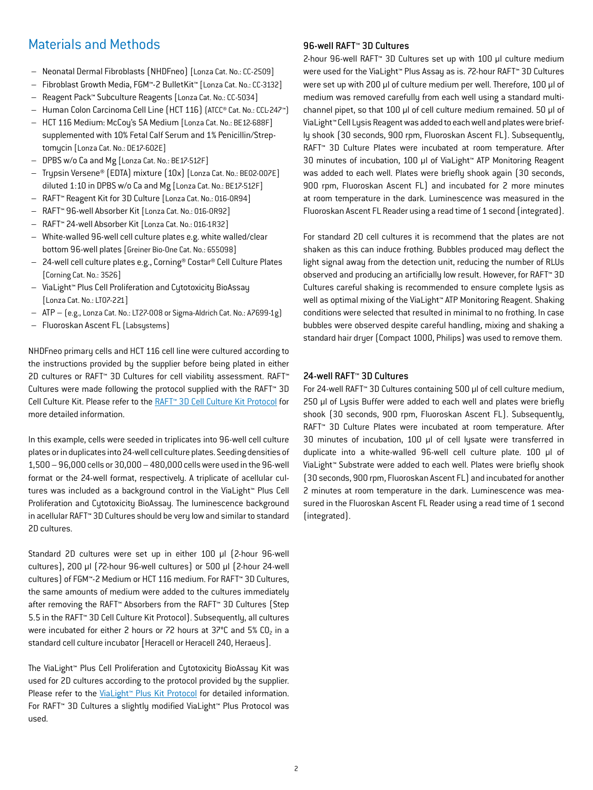# Materials and Methods

- Neonatal Dermal Fibroblasts (NHDFneo) [Lonza Cat. No.: CC-2509]
- Fibroblast Growth Media, FGM™-2 BulletKit™ [Lonza Cat. No.: CC-3132]
- Reagent Pack™ Subculture Reagents [Lonza Cat. No.: CC-5034]
- Human Colon Carcinoma Cell Line (HCT 116) (ATCC® Cat. No.: CCL-247™)
- HCT 116 Medium: McCoy's 5A Medium [Lonza Cat. No.: BE12-688F] supplemented with 10% Fetal Calf Serum and 1% Penicillin/Streptomycin [Lonza Cat. No.: DE17-602E]
- DPBS w/o Ca and Mg [Lonza Cat. No.: BE17-512F]
- Trypsin Versene® (EDTA) mixture (10x) [Lonza Cat. No.: BE02-007E] diluted 1:10 in DPBS w/o Ca and Mg [Lonza Cat. No.: BE17-512F]
- RAFT™ Reagent Kit for 3D Culture [Lonza Cat. No.: 016-0R94]
- RAFT™ 96-well Absorber Kit [Lonza Cat. No.: 016-0R92]
- RAFT™ 24-well Absorber Kit [Lonza Cat. No.: 016-1R32]
- White-walled 96-well cell culture plates e.g. white walled/clear bottom 96-well plates [Greiner Bio-One Cat. No.: 655098]
- 24-well cell culture plates e.g., Corning® Costar® Cell Culture Plates [Corning Cat. No.: 3526]
- ViaLight™ Plus Cell Proliferation and Cytotoxicity BioAssay [Lonza Cat. No.: LT07-221]
- ATP (e.g., Lonza Cat. No.: LT27-008 or Sigma-Aldrich Cat. No.: A7699-1g)
- Fluoroskan Ascent FL (Labsystems)

NHDFneo primary cells and HCT 116 cell line were cultured according to the instructions provided by the supplier before being plated in either 2D cultures or RAFT™ 3D Cultures for cell viability assessment. RAFT™ Cultures were made following the protocol supplied with the RAFT™ 3D Cell Culture Kit. Please refer to the [RAFT™ 3D Cell Culture Kit Protocol](http://www.lonza.com/go/literature/5156) for more detailed information.

In this example, cells were seeded in triplicates into 96-well cell culture plates or in duplicates into 24-well cell culture plates. Seeding densities of 1,500 – 96,000 cells or 30,000 – 480,000 cells were used in the 96-well format or the 24-well format, respectively. A triplicate of acellular cultures was included as a background control in the ViaLight™ Plus Cell Proliferation and Cytotoxicity BioAssay. The luminescence background in acellular RAFT™ 3D Cultures should be very low and similar to standard 2D cultures.

Standard 2D cultures were set up in either 100 μl (2-hour 96-well cultures), 200 µl (72-hour 96-well cultures) or 500 µl (2-hour 24-well cultures) of FGM™-2 Medium or HCT 116 medium. For RAFT™ 3D Cultures, the same amounts of medium were added to the cultures immediately after removing the RAFT™ Absorbers from the RAFT™ 3D Cultures (Step 5.5 in the RAFT™ 3D Cell Culture Kit Protocol). Subsequently, all cultures were incubated for either 2 hours or 72 hours at 37°C and 5% CO<sub>2</sub> in a standard cell culture incubator [Heracell or Heracell 240, Heraeus].

The ViaLight™ Plus Cell Proliferation and Cytotoxicity BioAssay Kit was used for 2D cultures according to the protocol provided by the supplier. Please refer to the ViaLight<sup>™</sup> Plus Kit Protocol for detailed information. For RAFT™ 3D Cultures a slightly modified ViaLight™ Plus Protocol was used.

## 96-well RAFT<sup>™</sup> 3D Cultures

2-hour 96-well RAFT™ 3D Cultures set up with 100 µl culture medium were used for the ViaLight™ Plus Assay as is. 72-hour RAFT™ 3D Cultures were set up with 200 µl of culture medium per well. Therefore, 100 µl of medium was removed carefully from each well using a standard multichannel pipet, so that 100 µl of cell culture medium remained. 50 µl of ViaLight™ Cell Lysis Reagent was added to each well and plates were briefly shook (30 seconds, 900 rpm, Fluoroskan Ascent FL). Subsequently, RAFT™ 3D Culture Plates were incubated at room temperature. After 30 minutes of incubation, 100 µl of ViaLight™ ATP Monitoring Reagent was added to each well. Plates were briefly shook again (30 seconds, 900 rpm, Fluoroskan Ascent FL) and incubated for 2 more minutes at room temperature in the dark. Luminescence was measured in the Fluoroskan Ascent FL Reader using a read time of 1 second (integrated).

For standard 2D cell cultures it is recommend that the plates are not shaken as this can induce frothing. Bubbles produced may deflect the light signal away from the detection unit, reducing the number of RLUs observed and producing an artificially low result. However, for RAFT™ 3D Cultures careful shaking is recommended to ensure complete lysis as well as optimal mixing of the ViaLight™ ATP Monitoring Reagent. Shaking conditions were selected that resulted in minimal to no frothing. In case bubbles were observed despite careful handling, mixing and shaking a standard hair dryer (Compact 1000, Philips) was used to remove them.

## 24-well RAFT™ 3D Cultures

For 24-well RAFT™ 3D Cultures containing 500 µl of cell culture medium, 250 µl of Lysis Buffer were added to each well and plates were briefly shook (30 seconds, 900 rpm, Fluoroskan Ascent FL). Subsequently, RAFT™ 3D Culture Plates were incubated at room temperature. After 30 minutes of incubation, 100 µl of cell lysate were transferred in duplicate into a white-walled 96-well cell culture plate. 100 µl of ViaLight™ Substrate were added to each well. Plates were briefly shook (30 seconds, 900 rpm, Fluoroskan Ascent FL) and incubated for another 2 minutes at room temperature in the dark. Luminescence was measured in the Fluoroskan Ascent FL Reader using a read time of 1 second (integrated).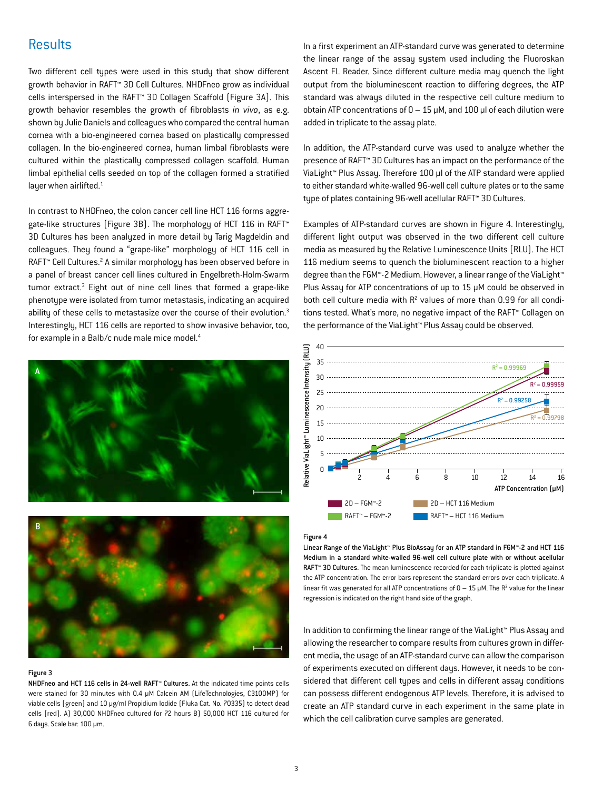# **Results**

Two different cell types were used in this study that show different growth behavior in RAFT™ 3D Cell Cultures. NHDFneo grow as individual cells interspersed in the RAFT™ 3D Collagen Scaffold (Figure 3A). This growth behavior resembles the growth of fibroblasts *in vivo*, as e.g. shown by Julie Daniels and colleagues who compared the central human cornea with a bio-engineered cornea based on plastically compressed collagen. In the bio-engineered cornea, human limbal fibroblasts were cultured within the plastically compressed collagen scaffold. Human limbal epithelial cells seeded on top of the collagen formed a stratified layer when airlifted.<sup>1</sup>

In contrast to NHDFneo, the colon cancer cell line HCT 116 forms aggregate-like structures (Figure 3B). The morphology of HCT 116 in RAFT™ 3D Cultures has been analyzed in more detail by Tarig Magdeldin and colleagues. They found a "grape-like" morphology of HCT 116 cell in RAFT™ Cell Cultures.<sup>2</sup> A similar morphology has been observed before in a panel of breast cancer cell lines cultured in Engelbreth-Holm-Swarm tumor extract.<sup>3</sup> Eight out of nine cell lines that formed a grape-like phenotype were isolated from tumor metastasis, indicating an acquired ability of these cells to metastasize over the course of their evolution.<sup>3</sup> Interestingly, HCT 116 cells are reported to show invasive behavior, too, for example in a Balb/c nude male mice model.4





#### Figure 3

NHDFneo and HCT 116 cells in 24-well RAFT™ Cultures. At the indicated time points cells were stained for 30 minutes with 0.4 µM Calcein AM (LifeTechnologies, C3100MP) for viable cells (green) and 10 µg/ml Propidium lodide (Fluka Cat. No. 70335) to detect dead cells (red). A) 30,000 NHDFneo cultured for 72 hours B) 50,000 HCT 116 cultured for 6 days. Scale bar: 100 µm.

In a first experiment an ATP-standard curve was generated to determine the linear range of the assay system used including the Fluoroskan Ascent FL Reader. Since different culture media may quench the light output from the bioluminescent reaction to differing degrees, the ATP standard was always diluted in the respective cell culture medium to obtain ATP concentrations of  $0 - 15$  µM, and 100 µl of each dilution were added in triplicate to the assay plate.

In addition, the ATP-standard curve was used to analyze whether the presence of RAFT™ 3D Cultures has an impact on the performance of the ViaLight™ Plus Assay. Therefore 100 µl of the ATP standard were applied to either standard white-walled 96-well cell culture plates or to the same type of plates containing 96-well acellular RAFT™ 3D Cultures.

Examples of ATP-standard curves are shown in Figure 4. Interestingly, different light output was observed in the two different cell culture media as measured by the Relative Luminescence Units (RLU). The HCT 116 medium seems to quench the bioluminescent reaction to a higher degree than the FGM™-2 Medium. However, a linear range of the ViaLight™ Plus Assay for ATP concentrations of up to 15 µM could be observed in both cell culture media with  $R^2$  values of more than 0.99 for all conditions tested. What's more, no negative impact of the RAFT™ Collagen on the performance of the ViaLight™ Plus Assay could be observed.



#### Figure 4

Linear Range of the ViaLight™ Plus BioAssay for an ATP standard in FGM™-2 and HCT 116 Medium in a standard white-walled 96-well cell culture plate with or without acellular RAFT<sup>™</sup> 3D Cultures. The mean luminescence recorded for each triplicate is plotted against the ATP concentration. The error bars represent the standard errors over each triplicate. A linear fit was generated for all ATP concentrations of  $0 - 15 \mu$ M. The R<sup>2</sup> value for the linear regression is indicated on the right hand side of the graph.

In addition to confirming the linear range of the ViaLight™ Plus Assay and allowing the researcher to compare results from cultures grown in different media, the usage of an ATP-standard curve can allow the comparison of experiments executed on different days. However, it needs to be considered that different cell types and cells in different assay conditions can possess different endogenous ATP levels. Therefore, it is advised to create an ATP standard curve in each experiment in the same plate in which the cell calibration curve samples are generated.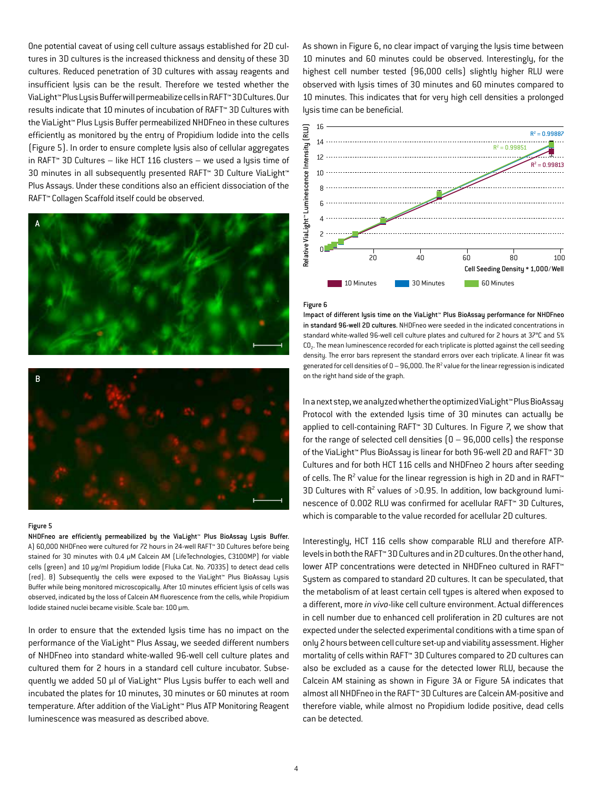One potential caveat of using cell culture assays established for 2D cultures in 3D cultures is the increased thickness and density of these 3D cultures. Reduced penetration of 3D cultures with assay reagents and insufficient lysis can be the result. Therefore we tested whether the ViaLight™ Plus Lysis Buffer will permeabilize cells in RAFT™ 3D Cultures. Our results indicate that 10 minutes of incubation of RAFT™ 3D Cultures with the ViaLight™ Plus Lysis Buffer permeabilized NHDFneo in these cultures efficiently as monitored by the entry of Propidium Iodide into the cells (Figure 5). In order to ensure complete lysis also of cellular aggregates in RAFT™ 3D Cultures – like HCT 116 clusters – we used a lysis time of 30 minutes in all subsequently presented RAFT™ 3D Culture ViaLight™ Plus Assays. Under these conditions also an efficient dissociation of the RAFT™ Collagen Scaffold itself could be observed.





#### Figure 5

NHDFneo are efficiently permeabilized by the ViaLight™ Plus BioAssay Lysis Buffer. A) 60,000 NHDFneo were cultured for 72 hours in 24-well RAFT™ 3D Cultures before being stained for 30 minutes with 0.4 µM Calcein AM (LifeTechnologies, C3100MP) for viable cells (green) and 10 µg/ml Propidium Iodide (Fluka Cat. No. 70335) to detect dead cells (red). B) Subsequently the cells were exposed to the ViaLight™ Plus BioAssay Lysis Buffer while being monitored microscopically. After 10 minutes efficient lysis of cells was observed, indicated by the loss of Calcein AM fluorescence from the cells, while Propidium Iodide stained nuclei became visible. Scale bar: 100 µm.

In order to ensure that the extended lysis time has no impact on the performance of the ViaLight™ Plus Assay, we seeded different numbers of NHDFneo into standard white-walled 96-well cell culture plates and cultured them for 2 hours in a standard cell culture incubator. Subsequently we added 50 µl of ViaLight™ Plus Lysis buffer to each well and incubated the plates for 10 minutes, 30 minutes or 60 minutes at room temperature. After addition of the ViaLight™ Plus ATP Monitoring Reagent luminescence was measured as described above.

As shown in Figure 6, no clear impact of varying the lysis time between 10 minutes and 60 minutes could be observed. Interestingly, for the highest cell number tested (96,000 cells) slightly higher RLU were observed with lysis times of 30 minutes and 60 minutes compared to 10 minutes. This indicates that for very high cell densities a prolonged lysis time can be beneficial.



#### Figure 6

Impact of different lysis time on the ViaLight™ Plus BioAssay performance for NHDFneo in standard 96-well 2D cultures. NHDFneo were seeded in the indicated concentrations in standard white-walled 96-well cell culture plates and cultured for 2 hours at 37°C and 5% CO2. The mean luminescence recorded for each triplicate is plotted against the cell seeding density. The error bars represent the standard errors over each triplicate. A linear fit was generated for cell densities of  $0 - 96,000$ . The  $R^2$  value for the linear regression is indicated on the right hand side of the graph.

In a next step, we analyzed whether the optimized ViaLight™ Plus BioAssay Protocol with the extended lysis time of 30 minutes can actually be applied to cell-containing RAFT™ 3D Cultures. In Figure 7, we show that for the range of selected cell densities  $(0 - 96,000$  cells) the response of the ViaLight™ Plus BioAssay is linear for both 96-well 2D and RAFT™ 3D Cultures and for both HCT 116 cells and NHDFneo 2 hours after seeding of cells. The  $R^2$  value for the linear regression is high in 2D and in RAFT<sup>®</sup> 3D Cultures with  $R^2$  values of >0.95. In addition, low background luminescence of 0.002 RLU was confirmed for acellular RAFT™ 3D Cultures, which is comparable to the value recorded for acellular 2D cultures.

Interestingly, HCT 116 cells show comparable RLU and therefore ATPlevels in both the RAFT™ 3D Cultures and in 2D cultures. On the other hand, lower ATP concentrations were detected in NHDFneo cultured in RAFT™ System as compared to standard 2D cultures. It can be speculated, that the metabolism of at least certain cell types is altered when exposed to a different, more *in vivo*-like cell culture environment. Actual differences in cell number due to enhanced cell proliferation in 2D cultures are not expected under the selected experimental conditions with a time span of only 2 hours between cell culture set-up and viability assessment. Higher mortality of cells within RAFT™ 3D Cultures compared to 2D cultures can also be excluded as a cause for the detected lower RLU, because the Calcein AM staining as shown in Figure 3A or Figure 5A indicates that almost all NHDFneo in the RAFT™ 3D Cultures are Calcein AM-positive and therefore viable, while almost no Propidium Iodide positive, dead cells can be detected.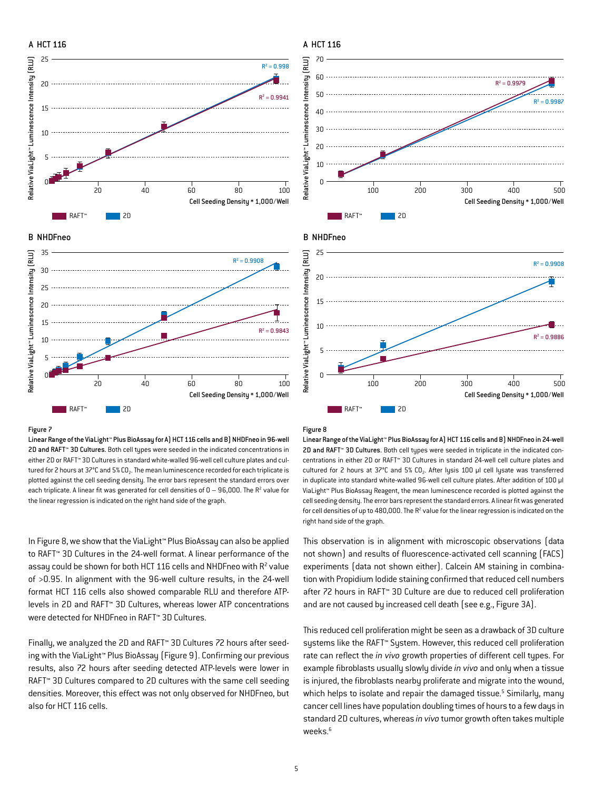



### Figure 7

Linear Range of the ViaLight™ Plus BioAssay for A) HCT 116 cells and B) NHDFneo in 96-well 2D and RAFT™ 3D Cultures. Both cell types were seeded in the indicated concentrations in either 2D or RAFT™ 3D Cultures in standard white-walled 96-well cell culture plates and cultured for 2 hours at  $37^{\circ}$ C and  $5\%$  CO<sub>2</sub>. The mean luminescence recorded for each triplicate is plotted against the cell seeding density. The error bars represent the standard errors over each triplicate. A linear fit was generated for cell densities of  $0-96,000$ . The R<sup>2</sup> value for the linear regression is indicated on the right hand side of the graph.

In Figure 8, we show that the ViaLight™ Plus BioAssay can also be applied to RAFT™ 3D Cultures in the 24-well format. A linear performance of the assay could be shown for both HCT 116 cells and NHDFneo with  $R^2$  value of >0.95. In alignment with the 96-well culture results, in the 24-well format HCT 116 cells also showed comparable RLU and therefore ATPlevels in 2D and RAFT™ 3D Cultures, whereas lower ATP concentrations were detected for NHDFneo in RAFT™ 3D Cultures.

Finally, we analyzed the 2D and RAFT™ 3D Cultures 72 hours after seeding with the ViaLight™ Plus BioAssay (Figure 9). Confirming our previous results, also 72 hours after seeding detected ATP-levels were lower in RAFT™ 3D Cultures compared to 2D cultures with the same cell seeding densities. Moreover, this effect was not only observed for NHDFneo, but also for HCT 116 cells.

#### Figure 8

Linear Range of the ViaLight™ Plus BioAssay for A) HCT 116 cells and B) NHDFneo in 24-well 2D and RAFT™ 3D Cultures. Both cell types were seeded in triplicate in the indicated concentrations in either 2D or RAFT™ 3D Cultures in standard 24-well cell culture plates and cultured for 2 hours at  $37^{\circ}$ C and  $5\%$  CO<sub>2</sub>. After lysis 100 µl cell lysate was transferred in duplicate into standard white-walled 96-well cell culture plates. After addition of 100 µl ViaLight™ Plus BioAssay Reagent, the mean luminescence recorded is plotted against the cell seeding density. The error bars represent the standard errors. A linear fit was generated for cell densities of up to  $480,000$ . The  $R^2$  value for the linear regression is indicated on the right hand side of the graph.

This observation is in alignment with microscopic observations (data not shown) and results of fluorescence-activated cell scanning (FACS) experiments (data not shown either). Calcein AM staining in combination with Propidium Iodide staining confirmed that reduced cell numbers after 72 hours in RAFT™ 3D Culture are due to reduced cell proliferation and are not caused by increased cell death (see e.g., Figure 3A).

This reduced cell proliferation might be seen as a drawback of 3D culture systems like the RAFT™ System. However, this reduced cell proliferation rate can reflect the *in vivo* growth properties of different cell types. For example fibroblasts usually slowly divide *in vivo* and only when a tissue is injured, the fibroblasts nearby proliferate and migrate into the wound, which helps to isolate and repair the damaged tissue.<sup>5</sup> Similarly, many cancer cell lines have population doubling times of hours to a few days in standard 2D cultures, whereas *in vivo* tumor growth often takes multiple weeks.<sup>6</sup>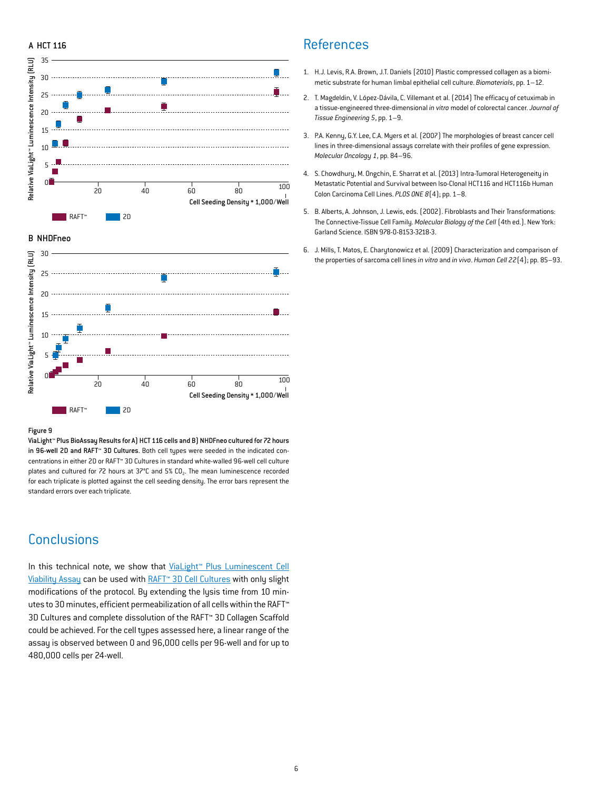## A HCT 116



### B NHDFneo



#### Figure 9

ViaLight™ Plus BioAssay Results for A) HCT 116 cells and B) NHDFneo cultured for 72 hours in 96-well 2D and RAFT™ 3D Cultures. Both cell types were seeded in the indicated concentrations in either 2D or RAFT™ 3D Cultures in standard white-walled 96-well cell culture plates and cultured for 72 hours at 37°C and 5% CO<sub>2</sub>. The mean luminescence recorded for each triplicate is plotted against the cell seeding density. The error bars represent the standard errors over each triplicate.

# **Conclusions**

In this technical note, we show that ViaLight™ Plus Luminescent Cell [Viability Assay](http://www.lonza.com/products-services/bio-research/assay-solutions/bioassays/cell-health-assays/vialight-plus-cell-proliferation-and-cytotoxicity-bioassay-kit.aspx) can be used with [RAFT™ 3D Cell Cultures](http://www.lonza.com/raft) with only slight modifications of the protocol. By extending the lysis time from 10 minutes to 30 minutes, efficient permeabilization of all cells within the RAFT™ 3D Cultures and complete dissolution of the RAFT™ 3D Collagen Scaffold could be achieved. For the cell types assessed here, a linear range of the assay is observed between 0 and 96,000 cells per 96-well and for up to 480,000 cells per 24-well.

## **References**

- 1. H.J. Levis, R.A. Brown, J.T. Daniels (2010) Plastic compressed collagen as a biomimetic substrate for human limbal epithelial cell culture. *Biomaterials*, pp. 1–12.
- 2. T. Magdeldin, V. López-Dávila, C. Villemant et al. (2014) The efficacy of cetuximab in a tissue-engineered three-dimensional *in vitro* model of colorectal cancer. *Journal of Tissue Engineering 5*, pp. 1–9.
- 3. P.A. Kenny, G.Y. Lee, C.A. Myers et al. (2007) The morphologies of breast cancer cell lines in three-dimensional assays correlate with their profiles of gene expression. *Molecular Oncology 1*, pp. 84–96.
- 4. S. Chowdhury, M. Ongchin, E. Sharrat et al. (2013) Intra-Tumoral Heterogeneity in Metastatic Potential and Survival between Iso-Clonal HCT116 and HCT116b Human Colon Carcinoma Cell Lines. *PLOS ONE 8*(4); pp. 1–8.
- 5. B. Alberts, A. Johnson, J. Lewis, eds. (2002). Fibroblasts and Their Transformations: The Connective-Tissue Cell Family. *Molecular Biology of the Cell* (4th ed.). New York: Garland Science. ISBN 978-0-8153-3218-3.
- 6. J. Mills, T. Matos, E. Charytonowicz et al. (2009) Characterization and comparison of the properties of sarcoma cell lines *in vitro* and *in vivo*. *Human Cell 22*(4); pp. 85–93.